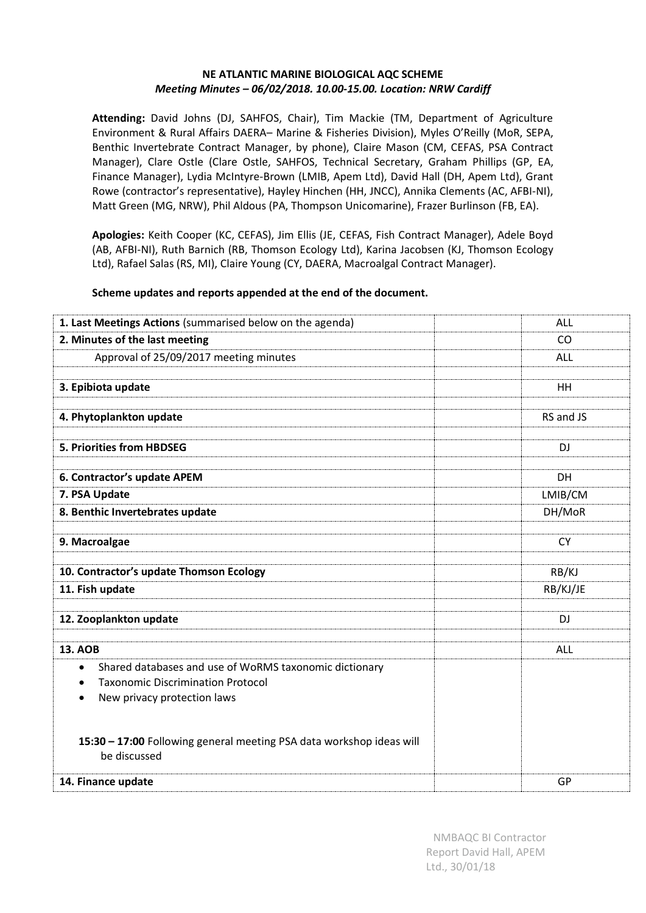### **NE ATLANTIC MARINE BIOLOGICAL AQC SCHEME**  *Meeting Minutes – 06/02/2018. 10.00-15.00. Location: NRW Cardiff*

**Attending:** David Johns (DJ, SAHFOS, Chair), Tim Mackie (TM, Department of Agriculture Environment & Rural Affairs DAERA– Marine & Fisheries Division), Myles O'Reilly (MoR, SEPA, Benthic Invertebrate Contract Manager, by phone), Claire Mason (CM, CEFAS, PSA Contract Manager), Clare Ostle (Clare Ostle, SAHFOS, Technical Secretary, Graham Phillips (GP, EA, Finance Manager), Lydia McIntyre-Brown (LMIB, Apem Ltd), David Hall (DH, Apem Ltd), Grant Rowe (contractor's representative), Hayley Hinchen (HH, JNCC), Annika Clements (AC, AFBI-NI), Matt Green (MG, NRW), Phil Aldous (PA, Thompson Unicomarine), Frazer Burlinson (FB, EA).

**Apologies:** Keith Cooper (KC, CEFAS), Jim Ellis (JE, CEFAS, Fish Contract Manager), Adele Boyd (AB, AFBI-NI), Ruth Barnich (RB, Thomson Ecology Ltd), Karina Jacobsen (KJ, Thomson Ecology Ltd), Rafael Salas (RS, MI), Claire Young (CY, DAERA, Macroalgal Contract Manager).

### **Scheme updates and reports appended at the end of the document.**

| 1. Last Meetings Actions (summarised below on the agenda)                                                                                                                | ALL       |
|--------------------------------------------------------------------------------------------------------------------------------------------------------------------------|-----------|
| 2. Minutes of the last meeting                                                                                                                                           | CO        |
| Approval of 25/09/2017 meeting minutes                                                                                                                                   | ALL       |
| 3. Epibiota update                                                                                                                                                       | HH        |
| 4. Phytoplankton update                                                                                                                                                  | RS and JS |
| 5. Priorities from HBDSEG                                                                                                                                                | <b>DJ</b> |
| 6. Contractor's update APEM                                                                                                                                              | DH        |
| 7. PSA Update                                                                                                                                                            | LMIB/CM   |
| 8. Benthic Invertebrates update                                                                                                                                          | DH/MoR    |
| 9. Macroalgae                                                                                                                                                            | <b>CY</b> |
| 10. Contractor's update Thomson Ecology                                                                                                                                  | RB/KJ     |
| 11. Fish update                                                                                                                                                          | RB/KJ/JE  |
| 12. Zooplankton update                                                                                                                                                   | <b>DJ</b> |
| <b>13. AOB</b>                                                                                                                                                           | ALL       |
| Shared databases and use of WoRMS taxonomic dictionary<br>$\bullet$<br><b>Taxonomic Discrimination Protocol</b><br>$\bullet$<br>New privacy protection laws<br>$\bullet$ |           |
| 15:30 - 17:00 Following general meeting PSA data workshop ideas will<br>be discussed                                                                                     |           |
| 14. Finance update                                                                                                                                                       | GP        |
|                                                                                                                                                                          |           |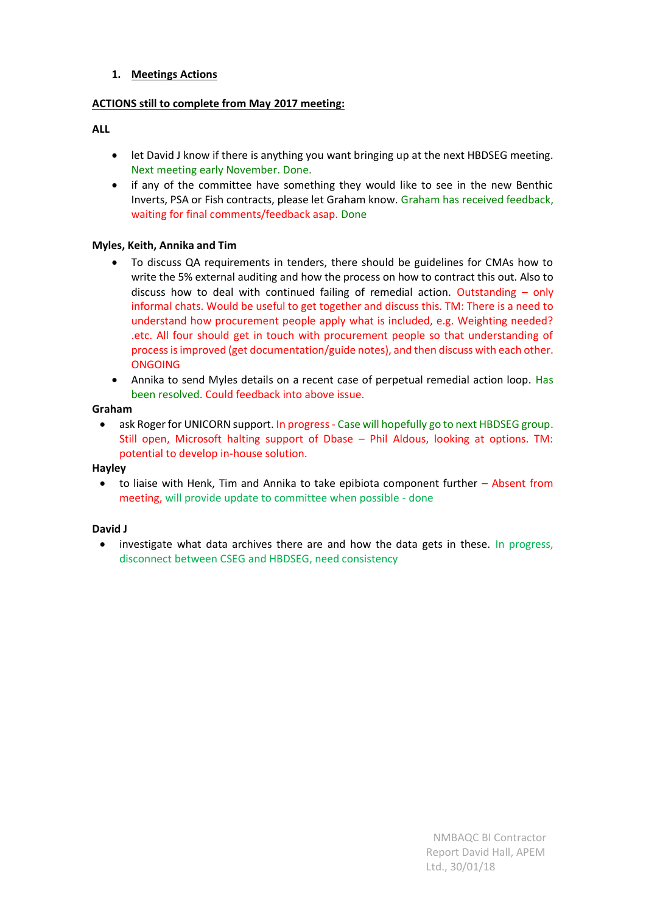### **1. Meetings Actions**

### **ACTIONS still to complete from May 2017 meeting:**

#### **ALL**

- let David J know if there is anything you want bringing up at the next HBDSEG meeting. Next meeting early November. Done.
- if any of the committee have something they would like to see in the new Benthic Inverts, PSA or Fish contracts, please let Graham know. Graham has received feedback, waiting for final comments/feedback asap. Done

### **Myles, Keith, Annika and Tim**

- To discuss QA requirements in tenders, there should be guidelines for CMAs how to write the 5% external auditing and how the process on how to contract this out. Also to discuss how to deal with continued failing of remedial action. Outstanding – only informal chats. Would be useful to get together and discuss this. TM: There is a need to understand how procurement people apply what is included, e.g. Weighting needed? .etc. All four should get in touch with procurement people so that understanding of process is improved (get documentation/guide notes), and then discuss with each other. **ONGOING**
- Annika to send Myles details on a recent case of perpetual remedial action loop. Has been resolved. Could feedback into above issue.

#### **Graham**

• ask Roger for UNICORN support. In progress - Case will hopefully go to next HBDSEG group. Still open, Microsoft halting support of Dbase – Phil Aldous, looking at options. TM: potential to develop in-house solution.

### **Hayley**

to liaise with Henk, Tim and Annika to take epibiota component further  $-$  Absent from meeting, will provide update to committee when possible - done

### **David J**

• investigate what data archives there are and how the data gets in these. In progress, disconnect between CSEG and HBDSEG, need consistency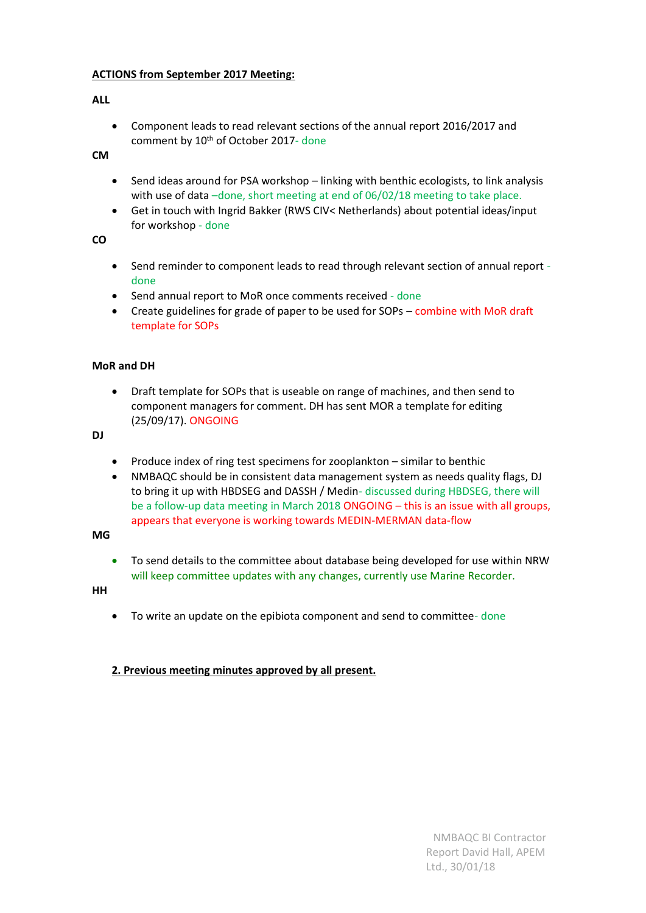### **ACTIONS from September 2017 Meeting:**

### **ALL**

• Component leads to read relevant sections of the annual report 2016/2017 and comment by 10<sup>th</sup> of October 2017- done

**CM**

- Send ideas around for PSA workshop linking with benthic ecologists, to link analysis with use of data -done, short meeting at end of 06/02/18 meeting to take place.
- Get in touch with Ingrid Bakker (RWS CIV< Netherlands) about potential ideas/input for workshop - done

**CO**

- Send reminder to component leads to read through relevant section of annual report done
- Send annual report to MoR once comments received done
- Create guidelines for grade of paper to be used for SOPs combine with MoR draft template for SOPs

### **MoR and DH**

• Draft template for SOPs that is useable on range of machines, and then send to component managers for comment. DH has sent MOR a template for editing (25/09/17). ONGOING

**DJ**

- Produce index of ring test specimens for zooplankton similar to benthic
- NMBAQC should be in consistent data management system as needs quality flags, DJ to bring it up with HBDSEG and DASSH / Medin- discussed during HBDSEG, there will be a follow-up data meeting in March 2018 ONGOING – this is an issue with all groups, appears that everyone is working towards MEDIN-MERMAN data-flow

**MG**

• To send details to the committee about database being developed for use within NRW will keep committee updates with any changes, currently use Marine Recorder.

**HH**

• To write an update on the epibiota component and send to committee- done

### **2. Previous meeting minutes approved by all present.**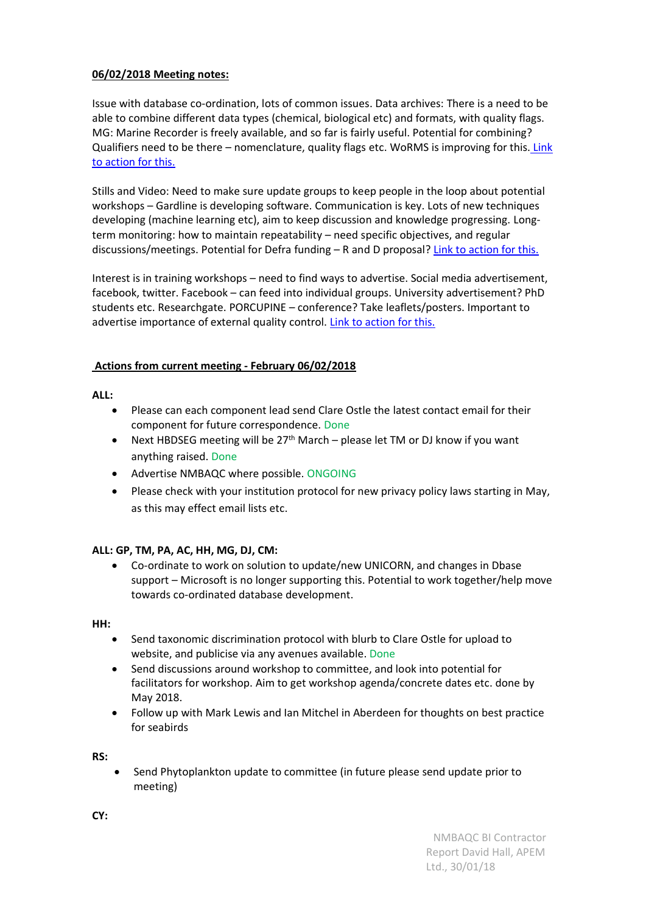### **06/02/2018 Meeting notes:**

Issue with database co-ordination, lots of common issues. Data archives: There is a need to be able to combine different data types (chemical, biological etc) and formats, with quality flags. MG: Marine Recorder is freely available, and so far is fairly useful. Potential for combining? Qualifiers need to be there – nomenclature, quality flags etc. WoRMS is improving for this. [Link](#page-3-0)  [to action for this.](#page-3-0)

Stills and Video: Need to make sure update groups to keep people in the loop about potential workshops – Gardline is developing software. Communication is key. Lots of new techniques developing (machine learning etc), aim to keep discussion and knowledge progressing. Longterm monitoring: how to maintain repeatability – need specific objectives, and regular discussions/meetings. Potential for Defra funding - R and D proposal? [Link to action for this.](#page-3-1)

Interest is in training workshops – need to find ways to advertise. Social media advertisement, facebook, twitter. Facebook – can feed into individual groups. University advertisement? PhD students etc. Researchgate. PORCUPINE – conference? Take leaflets/posters. Important to advertise importance of external quality control. [Link to action for this.](#page-3-2)

### **Actions from current meeting - February 06/02/2018**

**ALL:** 

- Please can each component lead send Clare Ostle the latest contact email for their component for future correspondence. Done
- Next HBDSEG meeting will be  $27<sup>th</sup>$  March please let TM or DJ know if you want anything raised. Done
- <span id="page-3-2"></span>• Advertise NMBAQC where possible. ONGOING
- Please check with your institution protocol for new privacy policy laws starting in May, as this may effect email lists etc.

### <span id="page-3-0"></span>**ALL: GP, TM, PA, AC, HH, MG, DJ, CM:**

• Co-ordinate to work on solution to update/new UNICORN, and changes in Dbase support – Microsoft is no longer supporting this. Potential to work together/help move towards co-ordinated database development.

<span id="page-3-1"></span>**HH:** 

- Send taxonomic discrimination protocol with blurb to Clare Ostle for upload to website, and publicise via any avenues available. Done
- Send discussions around workshop to committee, and look into potential for facilitators for workshop. Aim to get workshop agenda/concrete dates etc. done by May 2018.
- Follow up with Mark Lewis and Ian Mitchel in Aberdeen for thoughts on best practice for seabirds

**RS:**

• Send Phytoplankton update to committee (in future please send update prior to meeting)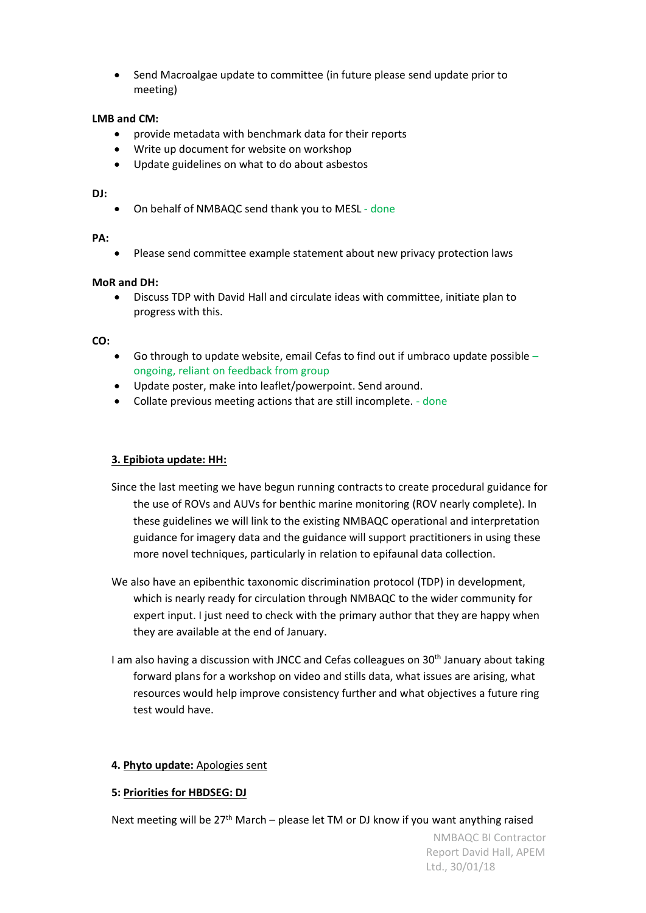• Send Macroalgae update to committee (in future please send update prior to meeting)

### **LMB and CM:**

- provide metadata with benchmark data for their reports
- Write up document for website on workshop
- Update guidelines on what to do about asbestos

### **DJ:**

• On behalf of NMBAQC send thank you to MESL - done

#### **PA:**

• Please send committee example statement about new privacy protection laws

### **MoR and DH:**

• Discuss TDP with David Hall and circulate ideas with committee, initiate plan to progress with this.

### **CO:**

- Go through to update website, email Cefas to find out if umbraco update possible  $$ ongoing, reliant on feedback from group
- Update poster, make into leaflet/powerpoint. Send around.
- Collate previous meeting actions that are still incomplete. done

### **3. Epibiota update: HH:**

- Since the last meeting we have begun running contracts to create procedural guidance for the use of ROVs and AUVs for benthic marine monitoring (ROV nearly complete). In these guidelines we will link to the existing NMBAQC operational and interpretation guidance for imagery data and the guidance will support practitioners in using these more novel techniques, particularly in relation to epifaunal data collection.
- We also have an epibenthic taxonomic discrimination protocol (TDP) in development, which is nearly ready for circulation through NMBAQC to the wider community for expert input. I just need to check with the primary author that they are happy when they are available at the end of January.
- I am also having a discussion with JNCC and Cefas colleagues on 30<sup>th</sup> January about taking forward plans for a workshop on video and stills data, what issues are arising, what resources would help improve consistency further and what objectives a future ring test would have.

### **4. Phyto update:** Apologies sent

### **5: Priorities for HBDSEG: DJ**

Next meeting will be  $27<sup>th</sup>$  March – please let TM or DJ know if you want anything raised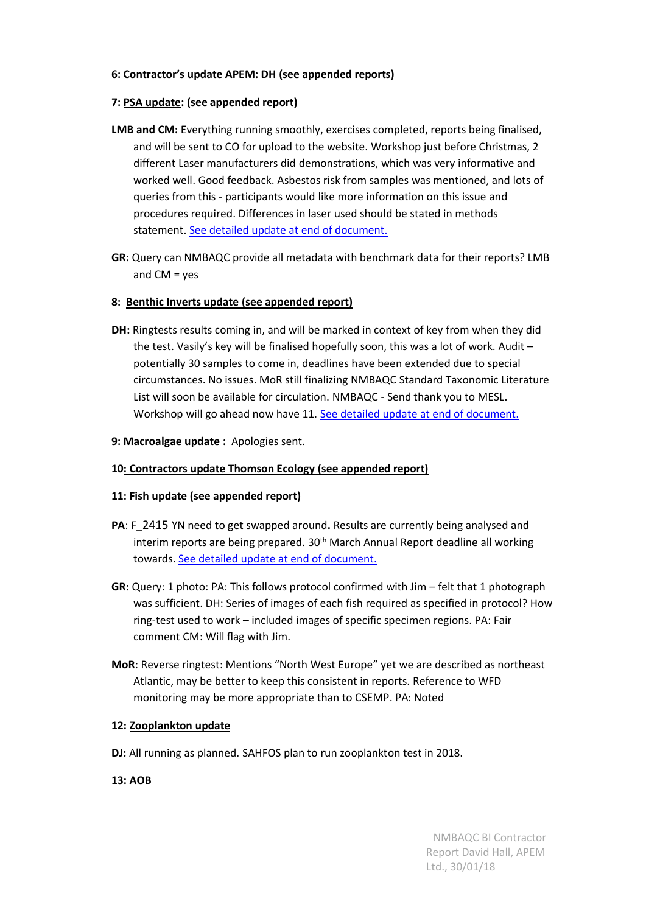### **6: Contractor's update APEM: DH (see appended reports)**

### **7: PSA update: (see appended report)**

- **LMB and CM:** Everything running smoothly, exercises completed, reports being finalised, and will be sent to CO for upload to the website. Workshop just before Christmas, 2 different Laser manufacturers did demonstrations, which was very informative and worked well. Good feedback. Asbestos risk from samples was mentioned, and lots of queries from this - participants would like more information on this issue and procedures required. Differences in laser used should be stated in methods statement. [See detailed update at end of document.](#page-7-0)
- **GR:** Query can NMBAQC provide all metadata with benchmark data for their reports? LMB and  $CM = yes$

### **8: Benthic Inverts update (see appended report)**

- **DH:** Ringtests results coming in, and will be marked in context of key from when they did the test. Vasily's key will be finalised hopefully soon, this was a lot of work. Audit – potentially 30 samples to come in, deadlines have been extended due to special circumstances. No issues. MoR still finalizing NMBAQC Standard Taxonomic Literature List will soon be available for circulation. NMBAQC - Send thank you to MESL. Workshop will go ahead now have 11. [See detailed update at end of document.](#page-13-0)
- **9: Macroalgae update :** Apologies sent.

### **10: Contractors update Thomson Ecology (see appended report)**

### **11: Fish update (see appended report)**

- **PA**: F\_2415 YN need to get swapped around**.** Results are currently being analysed and interim reports are being prepared. 30<sup>th</sup> March Annual Report deadline all working towards. [See detailed update at end of document.](#page-21-0)
- **GR:** Query: 1 photo: PA: This follows protocol confirmed with Jim felt that 1 photograph was sufficient. DH: Series of images of each fish required as specified in protocol? How ring-test used to work – included images of specific specimen regions. PA: Fair comment CM: Will flag with Jim.
- **MoR**: Reverse ringtest: Mentions "North West Europe" yet we are described as northeast Atlantic, may be better to keep this consistent in reports. Reference to WFD monitoring may be more appropriate than to CSEMP. PA: Noted

### **12: Zooplankton update**

**DJ:** All running as planned. SAHFOS plan to run zooplankton test in 2018.

### **13: AOB**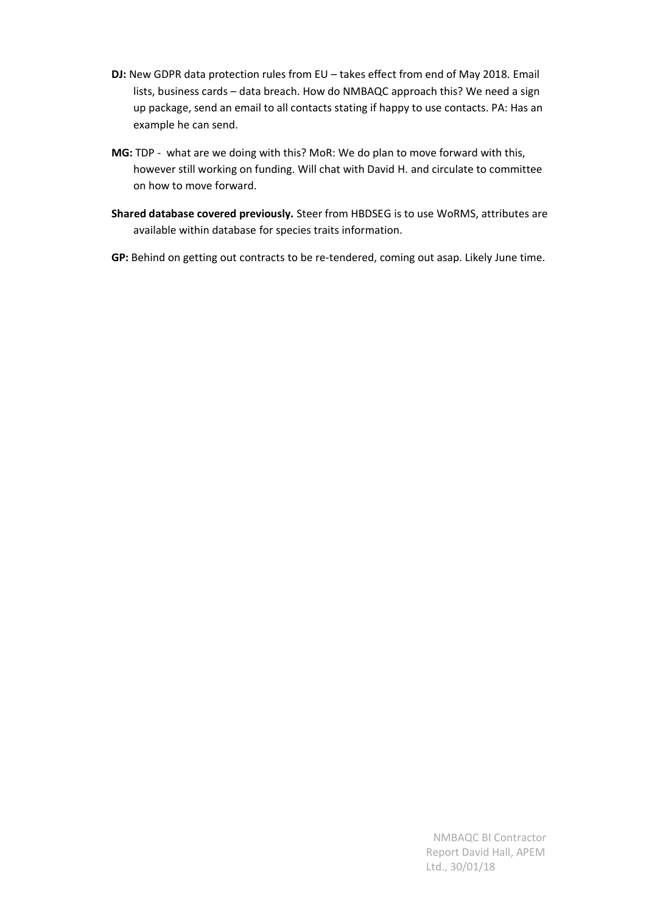- **DJ:** New GDPR data protection rules from EU takes effect from end of May 2018. Email lists, business cards – data breach. How do NMBAQC approach this? We need a sign up package, send an email to all contacts stating if happy to use contacts. PA: Has an example he can send.
- **MG:** TDP what are we doing with this? MoR: We do plan to move forward with this, however still working on funding. Will chat with David H. and circulate to committee on how to move forward.
- **Shared database covered previously.** Steer from HBDSEG is to use WoRMS, attributes are available within database for species traits information.
- **GP:** Behind on getting out contracts to be re-tendered, coming out asap. Likely June time.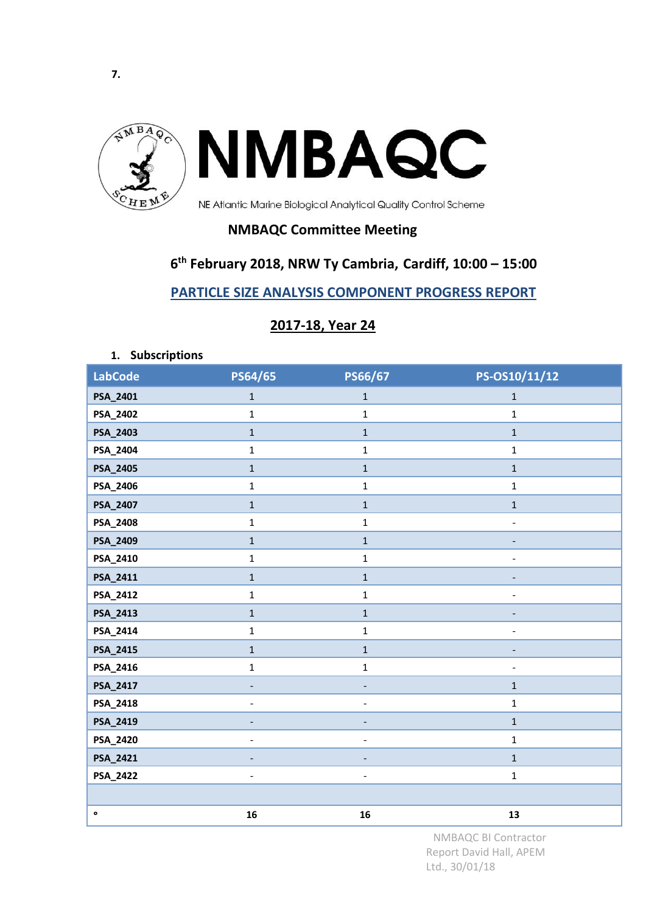<span id="page-7-0"></span>

**NMBAQC Committee Meeting** 

# **6 th February 2018, NRW Ty Cambria, Cardiff, 10:00 – 15:00**

**PARTICLE SIZE ANALYSIS COMPONENT PROGRESS REPORT**

| 2017-18, Year 24 |
|------------------|
|------------------|

**1. Subscriptions** 

| <b>LabCode</b> | PS64/65                  | PS66/67                  | PS-OS10/11/12                |
|----------------|--------------------------|--------------------------|------------------------------|
| PSA_2401       | $1\,$                    | $\mathbf{1}$             | $\mathbf{1}$                 |
| PSA_2402       | $\mathbf{1}$             | $\mathbf{1}$             | $\mathbf{1}$                 |
| PSA_2403       | $\mathbf{1}$             | $\mathbf 1$              | $\mathbf{1}$                 |
| PSA_2404       | $\mathbf{1}$             | $\mathbf 1$              | $\mathbf{1}$                 |
| PSA_2405       | $\mathbf 1$              | $\mathbf 1$              | $\mathbf{1}$                 |
| PSA_2406       | $\mathbf{1}$             | $\mathbf 1$              | $\mathbf{1}$                 |
| PSA_2407       | $\mathbf{1}$             | $\mathbf{1}$             | $\mathbf{1}$                 |
| PSA_2408       | $\mathbf{1}$             | $\mathbf{1}$             | $\frac{1}{2}$                |
| PSA_2409       | $\mathbf{1}$             | $\mathbf 1$              | $\overline{a}$               |
| PSA_2410       | $\mathbf{1}$             | $\mathbf{1}$             | $\qquad \qquad \blacksquare$ |
| PSA_2411       | $\mathbf{1}$             | $\mathbf{1}$             |                              |
| PSA_2412       | $\mathbf{1}$             | $\mathbf 1$              | ٠                            |
| PSA_2413       | $\mathbf{1}$             | $\mathbf 1$              | $\overline{\phantom{a}}$     |
| PSA_2414       | $\mathbf{1}$             | $\mathbf{1}$             | $\overline{a}$               |
| PSA_2415       | $\mathbf{1}$             | $\mathbf{1}$             | $\overline{\phantom{a}}$     |
| PSA_2416       | $\mathbf 1$              | $\mathbf 1$              | $\overline{\phantom{a}}$     |
| PSA_2417       | $\blacksquare$           |                          | $\mathbf{1}$                 |
| PSA_2418       |                          |                          | $\mathbf{1}$                 |
| PSA_2419       |                          |                          | $\mathbf{1}$                 |
| PSA_2420       | $\overline{a}$           | $\blacksquare$           | $\mathbf{1}$                 |
| PSA_2421       | $\overline{a}$           |                          | $\mathbf{1}$                 |
| PSA_2422       | $\overline{\phantom{a}}$ | $\overline{\phantom{a}}$ | $\mathbf{1}$                 |
|                |                          |                          |                              |
| $\bullet$      | 16                       | 16                       | 13                           |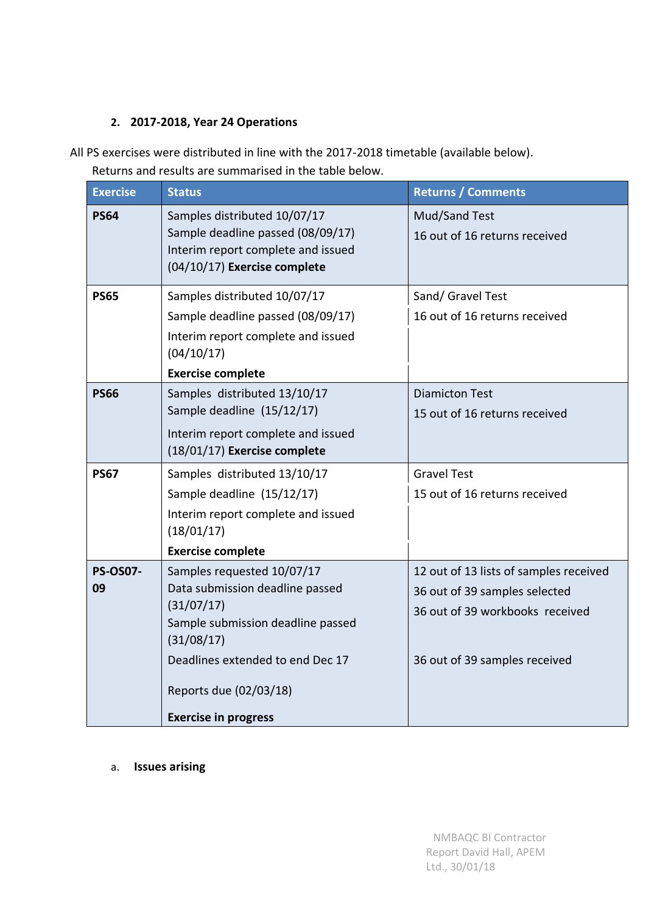# **2. 2017-2018, Year 24 Operations**

All PS exercises were distributed in line with the 2017-2018 timetable (available below). Returns and results are summarised in the table below.

| <b>Exercise</b>       | <b>Status</b>                                                                                                                                                                                                               | <b>Returns / Comments</b>                                                                                                                   |  |  |  |
|-----------------------|-----------------------------------------------------------------------------------------------------------------------------------------------------------------------------------------------------------------------------|---------------------------------------------------------------------------------------------------------------------------------------------|--|--|--|
| <b>PS64</b>           | Samples distributed 10/07/17<br>Sample deadline passed (08/09/17)<br>Interim report complete and issued<br>(04/10/17) Exercise complete                                                                                     | Mud/Sand Test<br>16 out of 16 returns received                                                                                              |  |  |  |
| <b>PS65</b>           | Samples distributed 10/07/17<br>Sample deadline passed (08/09/17)<br>Interim report complete and issued<br>(04/10/17)<br><b>Exercise complete</b>                                                                           | Sand/ Gravel Test<br>16 out of 16 returns received                                                                                          |  |  |  |
| <b>PS66</b>           | Samples distributed 13/10/17<br>Sample deadline (15/12/17)<br>Interim report complete and issued<br>(18/01/17) Exercise complete                                                                                            | <b>Diamicton Test</b><br>15 out of 16 returns received                                                                                      |  |  |  |
| <b>PS67</b>           | Samples distributed 13/10/17<br>Sample deadline (15/12/17)<br>Interim report complete and issued<br>(18/01/17)<br><b>Exercise complete</b>                                                                                  | <b>Gravel Test</b><br>15 out of 16 returns received                                                                                         |  |  |  |
| <b>PS-OS07-</b><br>09 | Samples requested 10/07/17<br>Data submission deadline passed<br>(31/07/17)<br>Sample submission deadline passed<br>(31/08/17)<br>Deadlines extended to end Dec 17<br>Reports due (02/03/18)<br><b>Exercise in progress</b> | 12 out of 13 lists of samples received<br>36 out of 39 samples selected<br>36 out of 39 workbooks received<br>36 out of 39 samples received |  |  |  |

a. **Issues arising**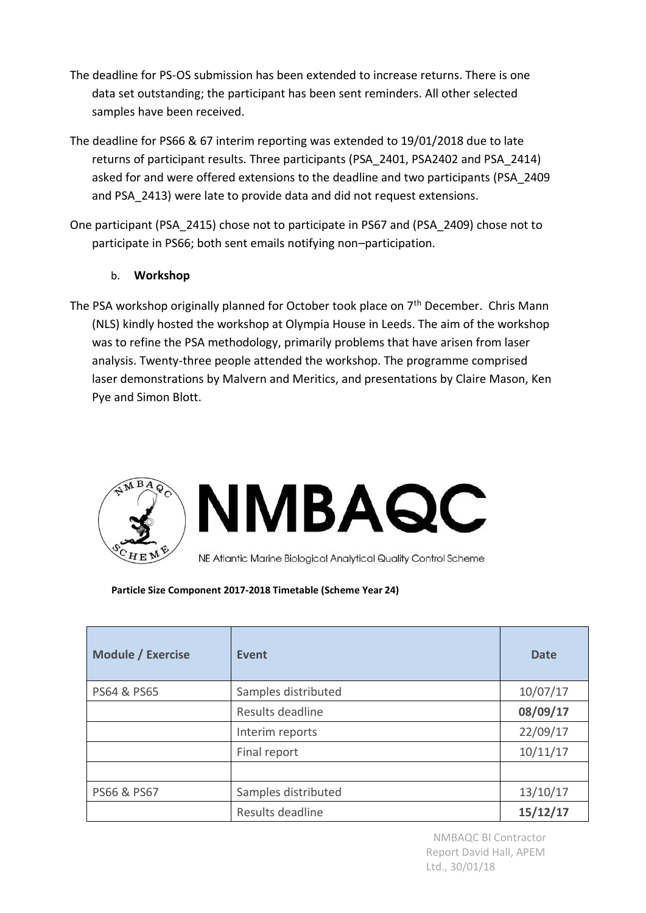- The deadline for PS-OS submission has been extended to increase returns. There is one data set outstanding; the participant has been sent reminders. All other selected samples have been received.
- The deadline for PS66 & 67 interim reporting was extended to 19/01/2018 due to late returns of participant results. Three participants (PSA\_2401, PSA2402 and PSA\_2414) asked for and were offered extensions to the deadline and two participants (PSA\_2409 and PSA\_2413) were late to provide data and did not request extensions.
- One participant (PSA\_2415) chose not to participate in PS67 and (PSA\_2409) chose not to participate in PS66; both sent emails notifying non–participation.

# b. **Workshop**

The PSA workshop originally planned for October took place on  $7<sup>th</sup>$  December. Chris Mann (NLS) kindly hosted the workshop at Olympia House in Leeds. The aim of the workshop was to refine the PSA methodology, primarily problems that have arisen from laser analysis. Twenty-three people attended the workshop. The programme comprised laser demonstrations by Malvern and Meritics, and presentations by Claire Mason, Ken Pye and Simon Blott.





NE Atlantic Marine Biological Analytical Quality Control Scheme

### **Particle Size Component 2017-2018 Timetable (Scheme Year 24)**

| <b>Module / Exercise</b> | <b>Event</b>        | <b>Date</b> |
|--------------------------|---------------------|-------------|
| PS64 & PS65              | Samples distributed | 10/07/17    |
|                          | Results deadline    | 08/09/17    |
|                          | Interim reports     | 22/09/17    |
|                          | Final report        | 10/11/17    |
|                          |                     |             |
| PS66 & PS67              | Samples distributed | 13/10/17    |
|                          | Results deadline    | 15/12/17    |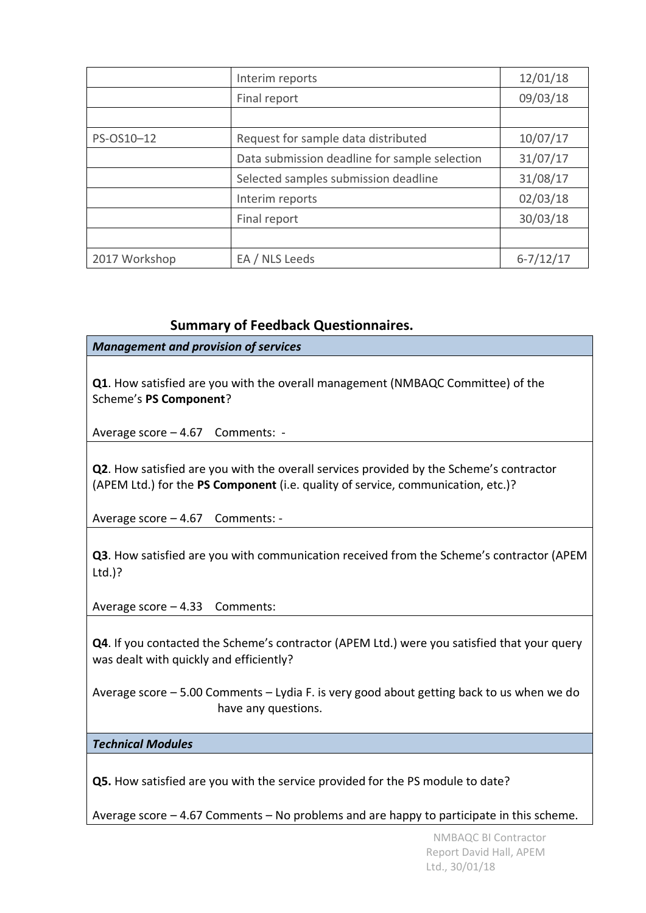|               | Interim reports                               | 12/01/18      |
|---------------|-----------------------------------------------|---------------|
|               | Final report                                  | 09/03/18      |
|               |                                               |               |
| PS-OS10-12    | Request for sample data distributed           | 10/07/17      |
|               | Data submission deadline for sample selection | 31/07/17      |
|               | Selected samples submission deadline          | 31/08/17      |
|               | Interim reports                               | 02/03/18      |
|               | Final report                                  | 30/03/18      |
|               |                                               |               |
| 2017 Workshop | EA / NLS Leeds                                | $6 - 7/12/17$ |

# **Summary of Feedback Questionnaires.**

*Management and provision of services*

**Q1**. How satisfied are you with the overall management (NMBAQC Committee) of the Scheme's **PS Component**?

Average score – 4.67 Comments: -

**Q2**. How satisfied are you with the overall services provided by the Scheme's contractor (APEM Ltd.) for the **PS Component** (i.e. quality of service, communication, etc.)?

Average score – 4.67 Comments: -

**Q3**. How satisfied are you with communication received from the Scheme's contractor (APEM Ltd.)?

Average score – 4.33 Comments:

**Q4**. If you contacted the Scheme's contractor (APEM Ltd.) were you satisfied that your query was dealt with quickly and efficiently?

Average score – 5.00 Comments – Lydia F. is very good about getting back to us when we do have any questions.

### *Technical Modules*

**Q5.** How satisfied are you with the service provided for the PS module to date?

Average score – 4.67 Comments – No problems and are happy to participate in this scheme.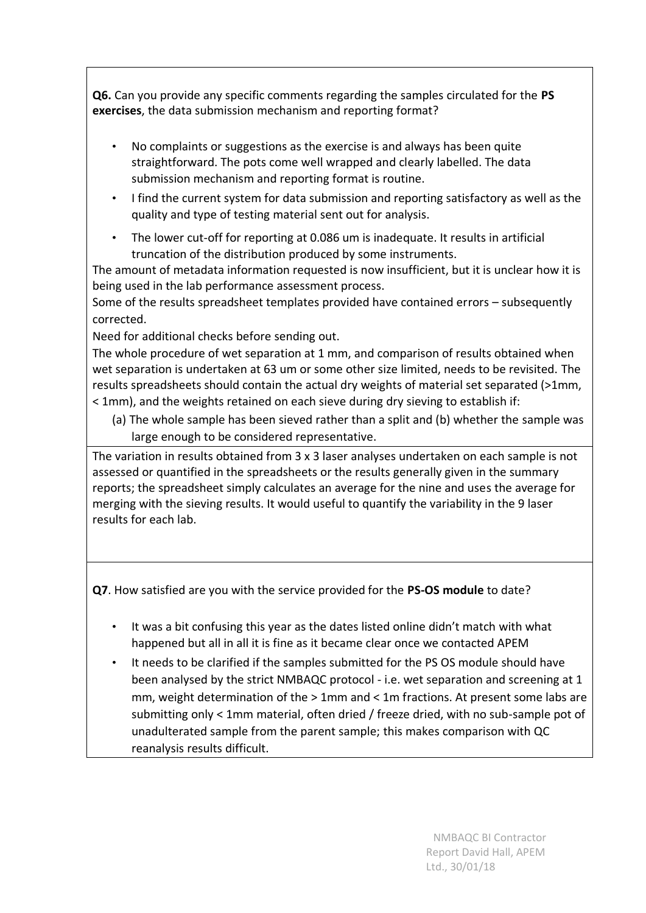**Q6.** Can you provide any specific comments regarding the samples circulated for the **PS exercises**, the data submission mechanism and reporting format?

- No complaints or suggestions as the exercise is and always has been quite straightforward. The pots come well wrapped and clearly labelled. The data submission mechanism and reporting format is routine.
- I find the current system for data submission and reporting satisfactory as well as the quality and type of testing material sent out for analysis.
- The lower cut-off for reporting at 0.086 um is inadequate. It results in artificial truncation of the distribution produced by some instruments.

The amount of metadata information requested is now insufficient, but it is unclear how it is being used in the lab performance assessment process.

Some of the results spreadsheet templates provided have contained errors – subsequently corrected.

Need for additional checks before sending out.

The whole procedure of wet separation at 1 mm, and comparison of results obtained when wet separation is undertaken at 63 um or some other size limited, needs to be revisited. The results spreadsheets should contain the actual dry weights of material set separated (>1mm, < 1mm), and the weights retained on each sieve during dry sieving to establish if:

(a) The whole sample has been sieved rather than a split and (b) whether the sample was large enough to be considered representative.

The variation in results obtained from 3 x 3 laser analyses undertaken on each sample is not assessed or quantified in the spreadsheets or the results generally given in the summary reports; the spreadsheet simply calculates an average for the nine and uses the average for merging with the sieving results. It would useful to quantify the variability in the 9 laser results for each lab.

**Q7**. How satisfied are you with the service provided for the **PS-OS module** to date?

- It was a bit confusing this year as the dates listed online didn't match with what happened but all in all it is fine as it became clear once we contacted APEM
- It needs to be clarified if the samples submitted for the PS OS module should have been analysed by the strict NMBAQC protocol - i.e. wet separation and screening at 1 mm, weight determination of the > 1mm and < 1m fractions. At present some labs are submitting only < 1mm material, often dried / freeze dried, with no sub-sample pot of unadulterated sample from the parent sample; this makes comparison with QC reanalysis results difficult.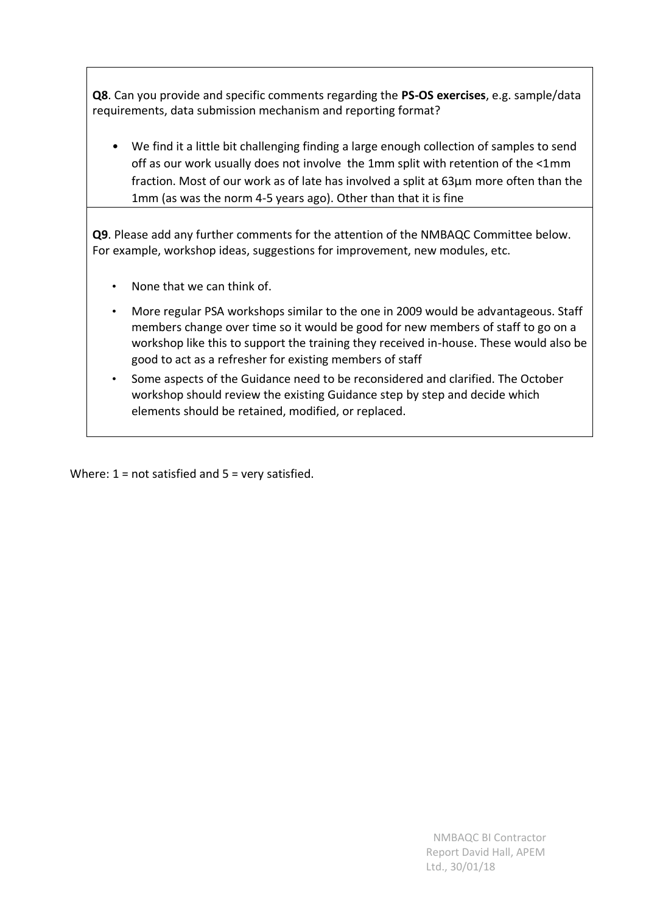**Q8**. Can you provide and specific comments regarding the **PS-OS exercises**, e.g. sample/data requirements, data submission mechanism and reporting format?

• We find it a little bit challenging finding a large enough collection of samples to send off as our work usually does not involve the 1mm split with retention of the <1mm fraction. Most of our work as of late has involved a split at 63µm more often than the 1mm (as was the norm 4-5 years ago). Other than that it is fine

**Q9**. Please add any further comments for the attention of the NMBAQC Committee below. For example, workshop ideas, suggestions for improvement, new modules, etc.

- None that we can think of.
- More regular PSA workshops similar to the one in 2009 would be advantageous. Staff members change over time so it would be good for new members of staff to go on a workshop like this to support the training they received in-house. These would also be good to act as a refresher for existing members of staff
- Some aspects of the Guidance need to be reconsidered and clarified. The October workshop should review the existing Guidance step by step and decide which elements should be retained, modified, or replaced.

Where:  $1 = not satisfied$  and  $5 = very satisfied$ .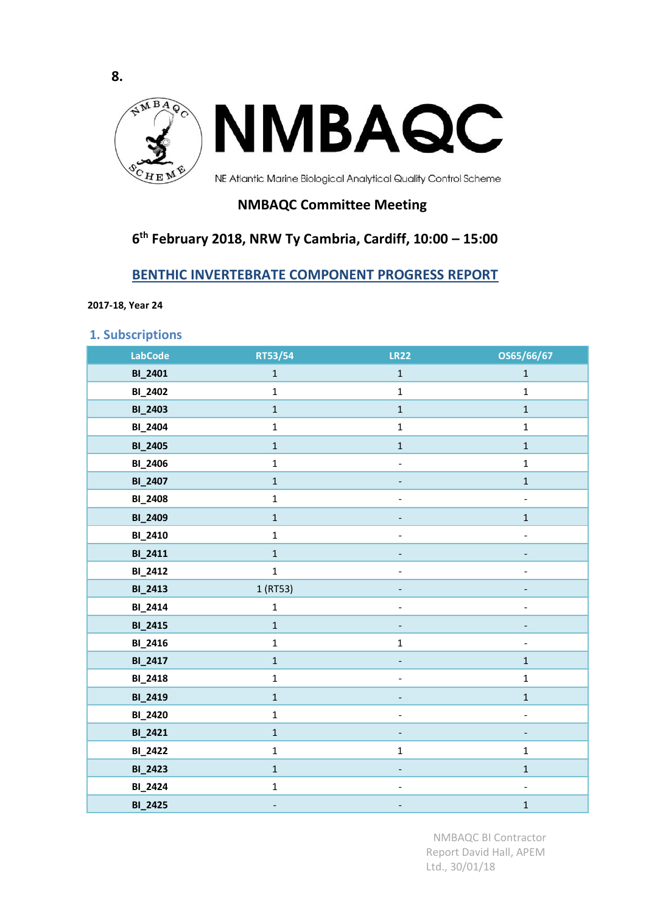<span id="page-13-0"></span>

# **NMBAQC Committee Meeting**

# **6 th February 2018, NRW Ty Cambria, Cardiff, 10:00 – 15:00**

# **BENTHIC INVERTEBRATE COMPONENT PROGRESS REPORT**

**2017-18, Year 24**

**8.**

**1. Subscriptions** 

| <b>LabCode</b> | RT53/54      | <b>LR22</b>              | OS65/66/67               |
|----------------|--------------|--------------------------|--------------------------|
| <b>BI_2401</b> | $\mathbf{1}$ | $\mathbf 1$              | $\mathbf{1}$             |
| <b>BI_2402</b> | $\mathbf 1$  | $\mathbf{1}$             | $\mathbf{1}$             |
| <b>BI_2403</b> | $\mathbf 1$  | $\mathbf{1}$             | $\mathbf 1$              |
| <b>BI_2404</b> | $\mathbf{1}$ | $\mathbf 1$              | $\mathbf{1}$             |
| <b>BI_2405</b> | $\mathbf{1}$ | $\mathbf{1}$             | $\mathbf 1$              |
| <b>BI_2406</b> | $\mathbf{1}$ | $\frac{1}{2}$            | $\mathbf 1$              |
| <b>BI_2407</b> | $\mathbf{1}$ |                          | $\mathbf{1}$             |
| <b>BI_2408</b> | $\mathbf 1$  |                          | $\overline{\phantom{a}}$ |
| <b>BI_2409</b> | $\mathbf{1}$ |                          | $\mathbf{1}$             |
| <b>BI_2410</b> | $\mathbf{1}$ | $\overline{\phantom{0}}$ | $\overline{\phantom{a}}$ |
| BI_2411        | $\mathbf{1}$ |                          | $\overline{\phantom{m}}$ |
| <b>BI_2412</b> | $\mathbf{1}$ | $\frac{1}{2}$            | $\blacksquare$           |
| <b>BI_2413</b> | 1 (RT53)     |                          |                          |
| <b>BI_2414</b> | $\mathbf{1}$ | $\overline{a}$           | $\blacksquare$           |
| <b>BI_2415</b> | $\mathbf{1}$ |                          |                          |
| <b>BI_2416</b> | $\mathbf{1}$ | $\mathbf 1$              | $\overline{\phantom{a}}$ |
| <b>BI_2417</b> | $\mathbf{1}$ |                          | $\mathbf 1$              |
| <b>BI_2418</b> | $\mathbf{1}$ | $\frac{1}{2}$            | $\mathbf 1$              |
| <b>BI_2419</b> | $\mathbf{1}$ | $\overline{\phantom{m}}$ | $\mathbf 1$              |
| <b>BI_2420</b> | $\mathbf{1}$ |                          | $\frac{1}{2}$            |
| <b>BI_2421</b> | $\mathbf{1}$ |                          |                          |
| <b>BI_2422</b> | $\mathbf{1}$ | $\mathbf 1$              | $\mathbf 1$              |
| <b>BI_2423</b> | $\mathbf{1}$ |                          | $\mathbf{1}$             |
| <b>BI_2424</b> | $\mathbf{1}$ | $\overline{\phantom{a}}$ | $\blacksquare$           |
| <b>BI_2425</b> | ۰            | $\overline{\phantom{a}}$ | $\mathbf 1$              |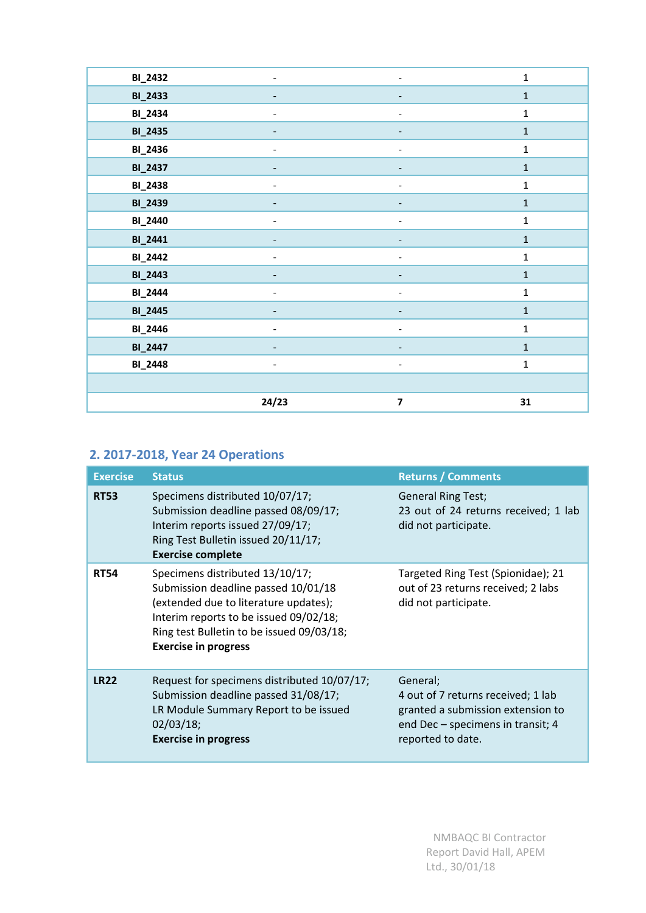| <b>BI_2432</b> |                          |                          | $\mathbf 1$  |
|----------------|--------------------------|--------------------------|--------------|
| <b>BI_2433</b> | -                        | $\overline{\phantom{a}}$ | $\mathbf 1$  |
| <b>BI_2434</b> | $\overline{\phantom{a}}$ | $\overline{\phantom{a}}$ | $\mathbf 1$  |
| <b>BI_2435</b> |                          |                          | $\mathbf 1$  |
| <b>BI_2436</b> |                          |                          | $\mathbf 1$  |
| <b>BI_2437</b> |                          |                          | $\mathbf 1$  |
| <b>BI_2438</b> |                          |                          | $\mathbf 1$  |
| <b>BI_2439</b> |                          |                          | $\mathbf 1$  |
| <b>BI_2440</b> |                          |                          | $\mathbf 1$  |
| <b>BI_2441</b> |                          |                          | $\mathbf 1$  |
| <b>BI_2442</b> |                          |                          | $\mathbf{1}$ |
| <b>BI_2443</b> |                          |                          | $\mathbf 1$  |
| <b>BI_2444</b> |                          | $\overline{a}$           | $\mathbf 1$  |
| <b>BI_2445</b> |                          |                          | $\mathbf 1$  |
| <b>BI_2446</b> | $\overline{a}$           | $\blacksquare$           | $\mathbf 1$  |
| <b>BI_2447</b> | -                        | $\overline{\phantom{a}}$ | $\mathbf 1$  |
| <b>BI_2448</b> | $\overline{\phantom{a}}$ | $\overline{\phantom{a}}$ | $\mathbf 1$  |
|                |                          |                          |              |
|                | 24/23                    | $\overline{\mathbf{z}}$  | 31           |

# **2. 2017-2018, Year 24 Operations**

| <b>Exercise</b> | <b>Status</b>                                                                                                                                                                                                                         | <b>Returns / Comments</b>                                                                                                                     |
|-----------------|---------------------------------------------------------------------------------------------------------------------------------------------------------------------------------------------------------------------------------------|-----------------------------------------------------------------------------------------------------------------------------------------------|
| <b>RT53</b>     | Specimens distributed 10/07/17;<br>Submission deadline passed 08/09/17;<br>Interim reports issued 27/09/17;<br>Ring Test Bulletin issued 20/11/17;<br><b>Exercise complete</b>                                                        | <b>General Ring Test;</b><br>23 out of 24 returns received; 1 lab<br>did not participate.                                                     |
| <b>RT54</b>     | Specimens distributed 13/10/17;<br>Submission deadline passed 10/01/18<br>(extended due to literature updates);<br>Interim reports to be issued 09/02/18;<br>Ring test Bulletin to be issued 09/03/18;<br><b>Exercise in progress</b> | Targeted Ring Test (Spionidae); 21<br>out of 23 returns received; 2 labs<br>did not participate.                                              |
| <b>LR22</b>     | Request for specimens distributed 10/07/17;<br>Submission deadline passed 31/08/17;<br>LR Module Summary Report to be issued<br>02/03/18;<br><b>Exercise in progress</b>                                                              | General;<br>4 out of 7 returns received; 1 lab<br>granted a submission extension to<br>end Dec - specimens in transit; 4<br>reported to date. |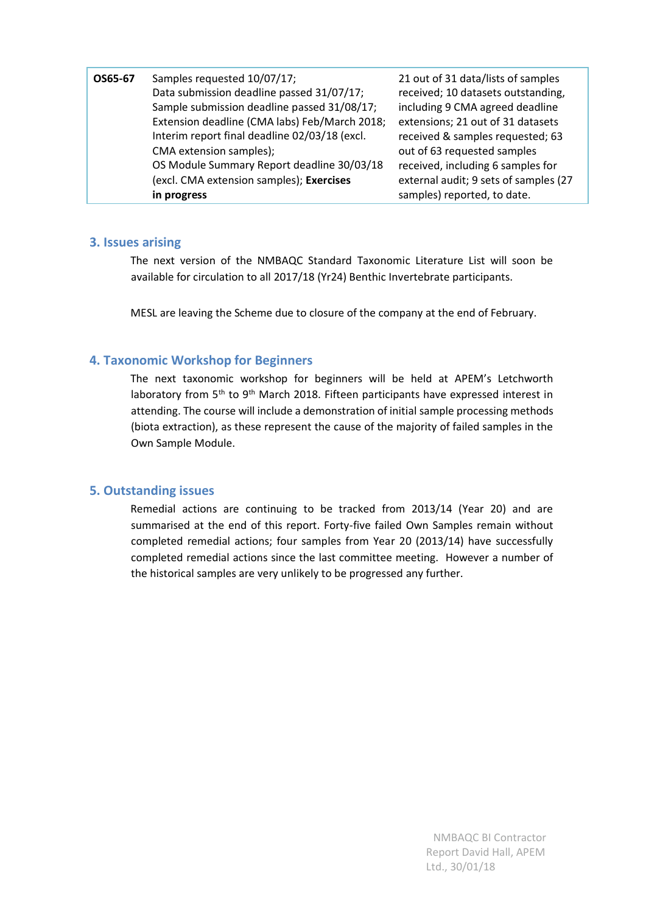| Samples requested 10/07/17;<br>OS65-67<br>Data submission deadline passed 31/07/17;<br>Sample submission deadline passed 31/08/17;<br>Extension deadline (CMA labs) Feb/March 2018;<br>Interim report final deadline 02/03/18 (excl.<br>CMA extension samples);<br>OS Module Summary Report deadline 30/03/18<br>(excl. CMA extension samples); Exercises<br>in progress | 21 out of 31 data/lists of samples<br>received; 10 datasets outstanding,<br>including 9 CMA agreed deadline<br>extensions; 21 out of 31 datasets<br>received & samples requested; 63<br>out of 63 requested samples<br>received, including 6 samples for<br>external audit; 9 sets of samples (27<br>samples) reported, to date. |
|--------------------------------------------------------------------------------------------------------------------------------------------------------------------------------------------------------------------------------------------------------------------------------------------------------------------------------------------------------------------------|----------------------------------------------------------------------------------------------------------------------------------------------------------------------------------------------------------------------------------------------------------------------------------------------------------------------------------|
|--------------------------------------------------------------------------------------------------------------------------------------------------------------------------------------------------------------------------------------------------------------------------------------------------------------------------------------------------------------------------|----------------------------------------------------------------------------------------------------------------------------------------------------------------------------------------------------------------------------------------------------------------------------------------------------------------------------------|

### **3. Issues arising**

The next version of the NMBAQC Standard Taxonomic Literature List will soon be available for circulation to all 2017/18 (Yr24) Benthic Invertebrate participants.

MESL are leaving the Scheme due to closure of the company at the end of February.

### **4. Taxonomic Workshop for Beginners**

The next taxonomic workshop for beginners will be held at APEM's Letchworth laboratory from 5<sup>th</sup> to 9<sup>th</sup> March 2018. Fifteen participants have expressed interest in attending. The course will include a demonstration of initial sample processing methods (biota extraction), as these represent the cause of the majority of failed samples in the Own Sample Module.

### **5. Outstanding issues**

Remedial actions are continuing to be tracked from 2013/14 (Year 20) and are summarised at the end of this report. Forty-five failed Own Samples remain without completed remedial actions; four samples from Year 20 (2013/14) have successfully completed remedial actions since the last committee meeting. However a number of the historical samples are very unlikely to be progressed any further.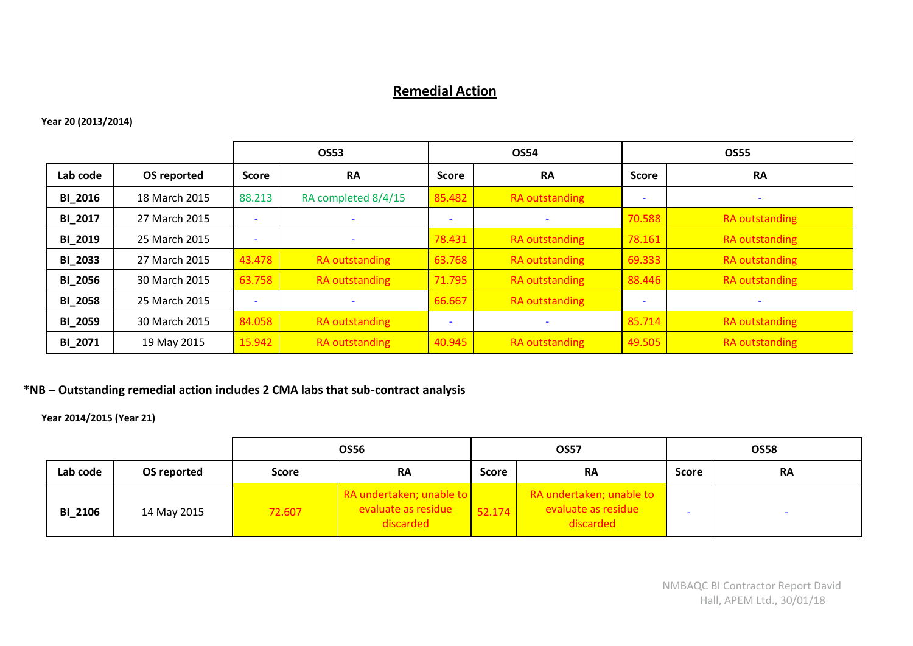# **Remedial Action**

### **Year 20 (2013/2014)**

|                |               |                          | <b>OS53</b><br><b>OS54</b> |                          |                          |                          | <b>OS55</b>              |
|----------------|---------------|--------------------------|----------------------------|--------------------------|--------------------------|--------------------------|--------------------------|
| Lab code       | OS reported   | <b>Score</b>             | <b>RA</b>                  | <b>Score</b>             | <b>RA</b>                | Score                    | <b>RA</b>                |
| <b>BI 2016</b> | 18 March 2015 | 88.213                   | RA completed 8/4/15        | 85.482                   | <b>RA</b> outstanding    | $\overline{\phantom{0}}$ | $\overline{\phantom{0}}$ |
| BI_2017        | 27 March 2015 | $\overline{\phantom{a}}$ | $\overline{\phantom{a}}$   | $\overline{\phantom{a}}$ | $\overline{\phantom{a}}$ | 70.588                   | RA outstanding           |
| <b>BI 2019</b> | 25 March 2015 | $\overline{\phantom{a}}$ | $\overline{\phantom{a}}$   | 78.431                   | <b>RA</b> outstanding    | 78.161                   | RA outstanding           |
| <b>BI 2033</b> | 27 March 2015 | 43.478                   | RA outstanding             | 63.768                   | RA outstanding           | 69.333                   | RA outstanding           |
| <b>BI 2056</b> | 30 March 2015 | 63.758                   | RA outstanding             | 71.795                   | <b>RA</b> outstanding    | 88.446                   | RA outstanding           |
| <b>BI_2058</b> | 25 March 2015 | $\overline{\phantom{a}}$ | $\overline{\phantom{a}}$   | 66.667                   | RA outstanding           | $\overline{\phantom{a}}$ |                          |
| <b>BI 2059</b> | 30 March 2015 | 84.058                   | RA outstanding             | $\overline{\phantom{a}}$ | $\overline{\phantom{a}}$ | 85.714                   | RA outstanding           |
| <b>BI 2071</b> | 19 May 2015   | 15.942                   | RA outstanding             | 40.945                   | <b>RA</b> outstanding    | 49.505                   | RA outstanding           |

### **\*NB – Outstanding remedial action includes 2 CMA labs that sub-contract analysis**

**Year 2014/2015 (Year 21)**

|                |             | <b>OS56</b> |                                                              | <b>OS57</b>  |                                                              |              | <b>OS58</b> |
|----------------|-------------|-------------|--------------------------------------------------------------|--------------|--------------------------------------------------------------|--------------|-------------|
| Lab code       | OS reported | Score       | <b>RA</b>                                                    | <b>Score</b> | <b>RA</b>                                                    | <b>Score</b> | <b>RA</b>   |
| <b>BI_2106</b> | 14 May 2015 | 72.607      | RA undertaken; unable to<br>evaluate as residue<br>discarded | 52.174       | RA undertaken; unable to<br>evaluate as residue<br>discarded |              |             |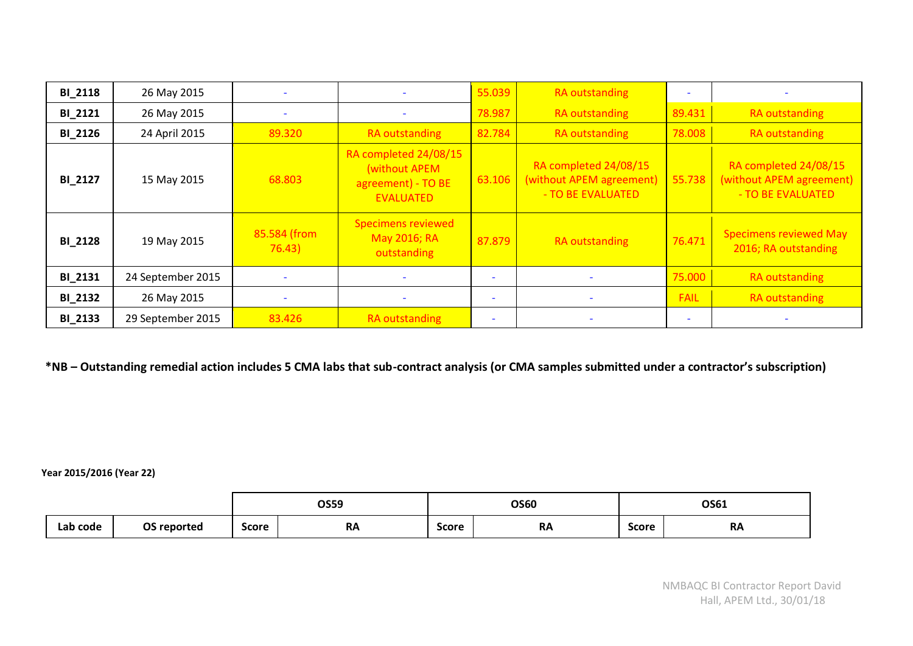| <b>BI_2118</b> | 26 May 2015       |                        |                                                                                  | 55.039                   | RA outstanding                                                         |             |                                                                        |
|----------------|-------------------|------------------------|----------------------------------------------------------------------------------|--------------------------|------------------------------------------------------------------------|-------------|------------------------------------------------------------------------|
| <b>BI_2121</b> | 26 May 2015       |                        |                                                                                  | 78.987                   | RA outstanding                                                         | 89.431      | RA outstanding                                                         |
| <b>BI_2126</b> | 24 April 2015     | 89.320                 | <b>RA</b> outstanding                                                            | 82.784                   | RA outstanding                                                         | 78.008      | RA outstanding                                                         |
| <b>BI_2127</b> | 15 May 2015       | 68.803                 | RA completed 24/08/15<br>(without APEM<br>agreement) - TO BE<br><b>EVALUATED</b> | 63.106                   | RA completed 24/08/15<br>(without APEM agreement)<br>- TO BE EVALUATED | 55.738      | RA completed 24/08/15<br>(without APEM agreement)<br>- TO BE EVALUATED |
| <b>BI_2128</b> | 19 May 2015       | 85.584 (from<br>76.43) | <b>Specimens reviewed</b><br>May 2016; RA<br>outstanding                         | 87.879                   | RA outstanding                                                         | 76.471      | <b>Specimens reviewed May</b><br>2016; RA outstanding                  |
| <b>BI_2131</b> | 24 September 2015 |                        |                                                                                  |                          |                                                                        | 75.000      | <b>RA</b> outstanding                                                  |
| <b>BI_2132</b> | 26 May 2015       |                        |                                                                                  | $\overline{\phantom{a}}$ |                                                                        | <b>FAIL</b> | <b>RA</b> outstanding                                                  |
| <b>BI_2133</b> | 29 September 2015 | 83.426                 | <b>RA</b> outstanding                                                            |                          |                                                                        |             |                                                                        |

**\*NB – Outstanding remedial action includes 5 CMA labs that sub-contract analysis (or CMA samples submitted under a contractor's subscription)** 

**Year 2015/2016 (Year 22)**

|          |             |              | <b>OS59</b> |              | <b>OS60</b> |              | OS61<br>_ _ _ |
|----------|-------------|--------------|-------------|--------------|-------------|--------------|---------------|
| Lab code | OS reported | <b>Score</b> | <b>RA</b>   | <b>Score</b> | <b>RA</b>   | <b>Score</b> | <b>RA</b>     |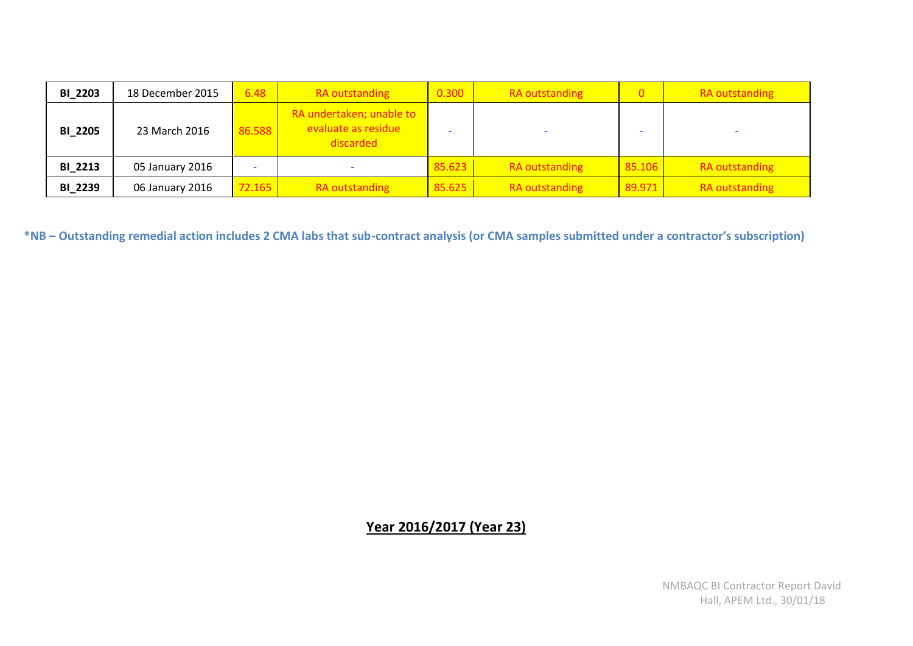| <b>BI_2203</b> | 18 December 2015 | 6.48   | RA outstanding                                               | 0.300  | RA outstanding | $\Omega$ | <b>RA</b> outstanding |
|----------------|------------------|--------|--------------------------------------------------------------|--------|----------------|----------|-----------------------|
| <b>BI_2205</b> | 23 March 2016    | 86.588 | RA undertaken; unable to<br>evaluate as residue<br>discarded |        |                |          |                       |
| <b>BI 2213</b> | 05 January 2016  |        |                                                              | 85.623 | RA outstanding | 85.106   | <b>RA outstanding</b> |
| <b>BI 2239</b> | 06 January 2016  | 72.165 | RA outstanding                                               | 85.625 | RA outstanding | 89.971   | <b>RA</b> outstanding |

**\*NB – Outstanding remedial action includes 2 CMA labs that sub-contract analysis (or CMA samples submitted under a contractor's subscription)** 

# **Year 2016/2017 (Year 23)**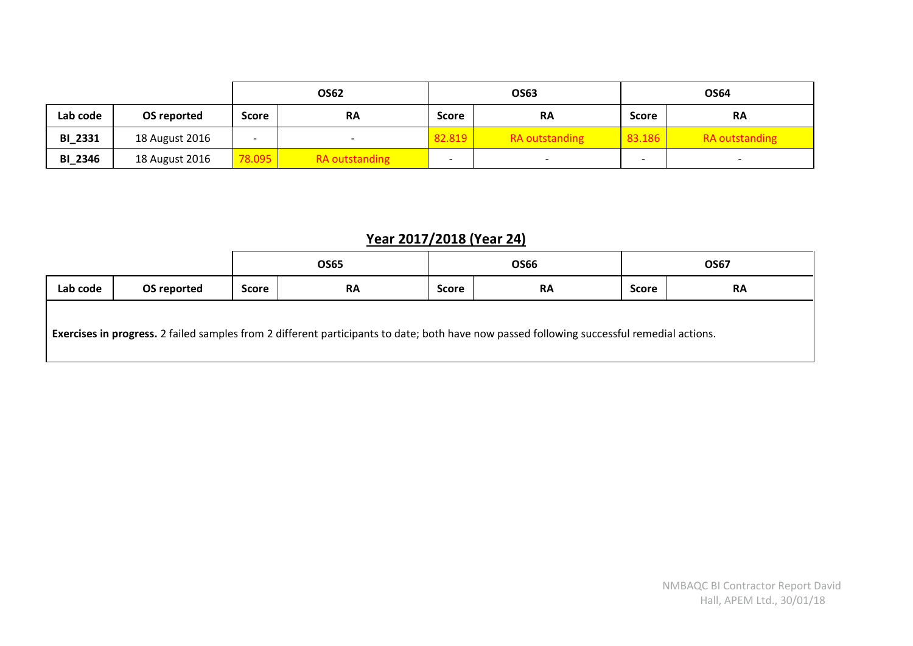|                |                |                          | <b>OS62</b><br>OS63   |                          | OS64                  |                          |                          |
|----------------|----------------|--------------------------|-----------------------|--------------------------|-----------------------|--------------------------|--------------------------|
| Lab code       | OS reported    | <b>Score</b>             | <b>RA</b>             | <b>Score</b>             | <b>RA</b>             | <b>Score</b>             | <b>RA</b>                |
| <b>BI_2331</b> | 18 August 2016 | $\overline{\phantom{a}}$ |                       | 82.819                   | <b>RA</b> outstanding | 83.186                   | <b>RA</b> outstanding    |
| BI_2346        | 18 August 2016 | 78.095                   | <b>RA</b> outstanding | $\overline{\phantom{0}}$ |                       | $\overline{\phantom{0}}$ | $\overline{\phantom{0}}$ |

# **Year 2017/2018 (Year 24)**

|          |             | <b>OS65</b>  |                                                                                                                                            | OS66         |           | <b>OS67</b>  |           |
|----------|-------------|--------------|--------------------------------------------------------------------------------------------------------------------------------------------|--------------|-----------|--------------|-----------|
| Lab code | OS reported | <b>Score</b> | <b>RA</b>                                                                                                                                  | <b>Score</b> | <b>RA</b> | <b>Score</b> | <b>RA</b> |
|          |             |              | Exercises in progress. 2 failed samples from 2 different participants to date; both have now passed following successful remedial actions. |              |           |              |           |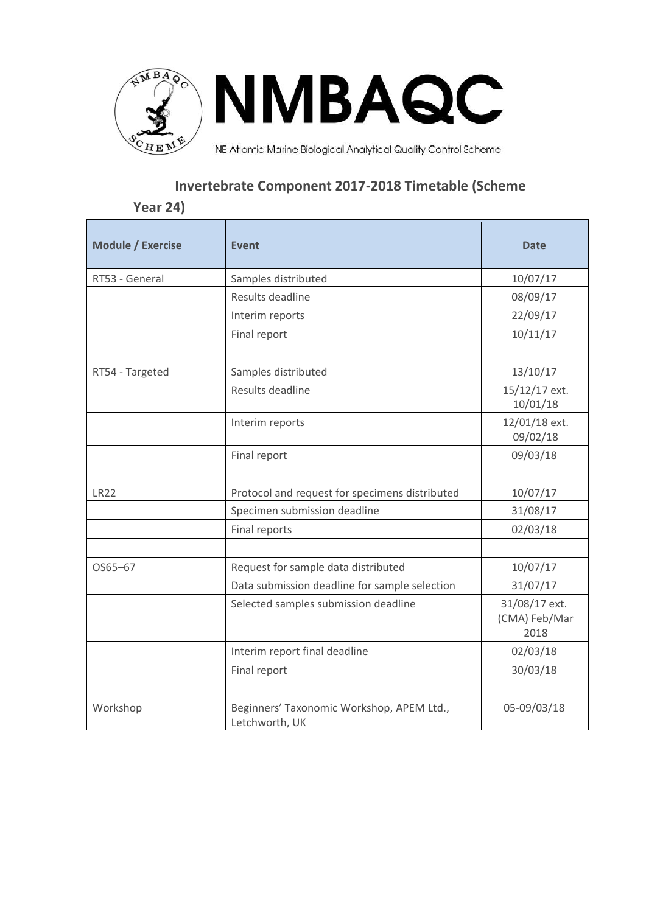

# **Invertebrate Component 2017-2018 Timetable (Scheme**

# **Year 24)**

| <b>Module / Exercise</b> | Event                                                       | <b>Date</b>                            |
|--------------------------|-------------------------------------------------------------|----------------------------------------|
| RT53 - General           | Samples distributed                                         | 10/07/17                               |
|                          | Results deadline                                            | 08/09/17                               |
|                          | Interim reports                                             | 22/09/17                               |
|                          | Final report                                                | 10/11/17                               |
|                          |                                                             |                                        |
| RT54 - Targeted          | Samples distributed                                         | 13/10/17                               |
|                          | Results deadline                                            | 15/12/17 ext.<br>10/01/18              |
|                          | Interim reports                                             | 12/01/18 ext.<br>09/02/18              |
|                          | Final report                                                | 09/03/18                               |
|                          |                                                             |                                        |
| <b>LR22</b>              | Protocol and request for specimens distributed              | 10/07/17                               |
|                          | Specimen submission deadline                                | 31/08/17                               |
|                          | Final reports                                               | 02/03/18                               |
|                          |                                                             |                                        |
| OS65-67                  | Request for sample data distributed                         | 10/07/17                               |
|                          | Data submission deadline for sample selection               | 31/07/17                               |
|                          | Selected samples submission deadline                        | 31/08/17 ext.<br>(CMA) Feb/Mar<br>2018 |
|                          | Interim report final deadline                               | 02/03/18                               |
|                          | Final report                                                | 30/03/18                               |
|                          |                                                             |                                        |
| Workshop                 | Beginners' Taxonomic Workshop, APEM Ltd.,<br>Letchworth, UK | 05-09/03/18                            |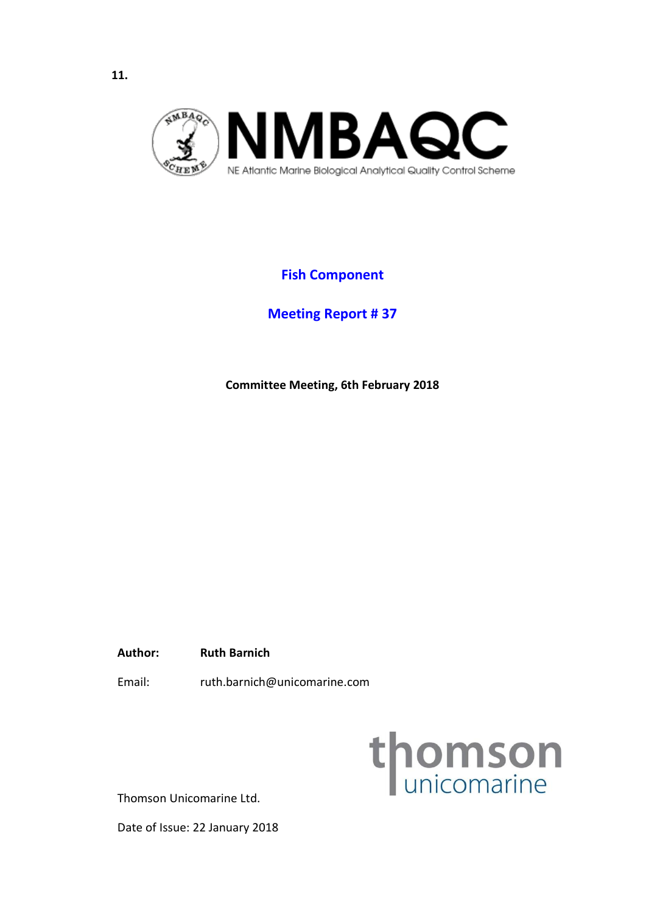<span id="page-21-0"></span>

# **Fish Component**

**Meeting Report # 37**

**Committee Meeting, 6th February 2018**

**Author: Ruth Barnich** 

Email: ruth.barnich@unicomarine.com



Thomson Unicomarine Ltd.

Date of Issue: 22 January 2018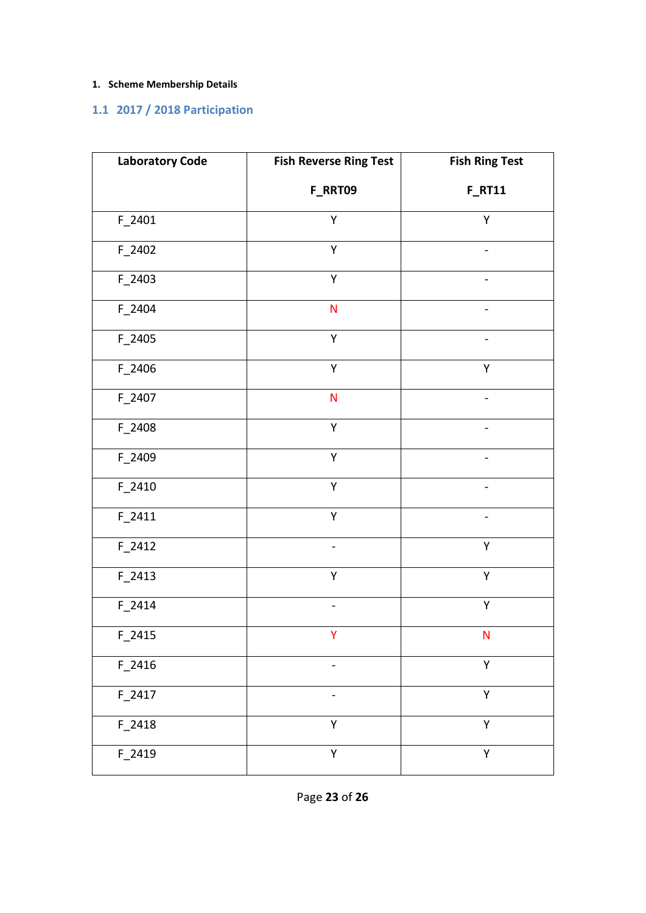## **1. Scheme Membership Details**

# **1.1 2017 / 2018 Participation**

| <b>Laboratory Code</b> | <b>Fish Reverse Ring Test</b> | <b>Fish Ring Test</b> |
|------------------------|-------------------------------|-----------------------|
|                        | F_RRT09                       | <b>F_RT11</b>         |
| F_2401                 | Υ                             | Υ                     |
| F_2402                 | Υ                             |                       |
| F_2403                 | Υ                             |                       |
| $F_2$ 2404             | $\mathsf{N}$                  |                       |
| F_2405                 | Υ                             |                       |
| F_2406                 | Υ                             | Υ                     |
| $F_2407$               | ${\sf N}$                     |                       |
| F_2408                 | Y                             |                       |
| F_2409                 | Υ                             |                       |
| F_2410                 | Υ                             |                       |
| $F_2411$               | Υ                             |                       |
| $F_2412$               |                               | Υ                     |
| $F_2413$               | Υ                             | Υ                     |
| $F_2414$               | $\overline{\phantom{0}}$      | Υ                     |
| $F_2415$               | Y.                            | N                     |
| $F_2$ 2416             |                               | Υ                     |
| $F_2417$               |                               | Υ                     |
| F_2418                 | Υ                             | Υ                     |
| F_2419                 | Υ                             | Y                     |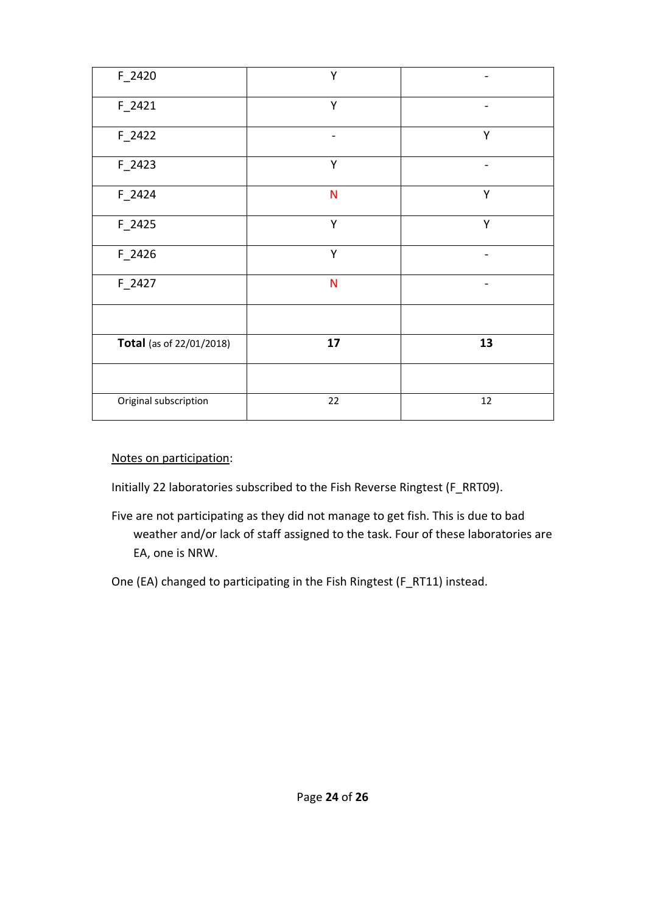| $F_2420$                 | Υ                            |        |
|--------------------------|------------------------------|--------|
| $F_2421$                 | Y                            |        |
| $F_2422$                 | $\qquad \qquad \blacksquare$ | Υ      |
| $F_2423$                 | Y                            |        |
| $F_2$ 2424               | N                            | Y      |
| $F_2425$                 | Υ                            | Υ      |
| F_2426                   | Υ                            |        |
| $F_2427$                 | $\mathsf{N}$                 |        |
|                          |                              |        |
| Total (as of 22/01/2018) | 17                           | 13     |
|                          |                              |        |
| Original subscription    | 22                           | $12\,$ |

### Notes on participation:

Initially 22 laboratories subscribed to the Fish Reverse Ringtest (F\_RRT09).

- Five are not participating as they did not manage to get fish. This is due to bad weather and/or lack of staff assigned to the task. Four of these laboratories are EA, one is NRW.
- One (EA) changed to participating in the Fish Ringtest (F\_RT11) instead.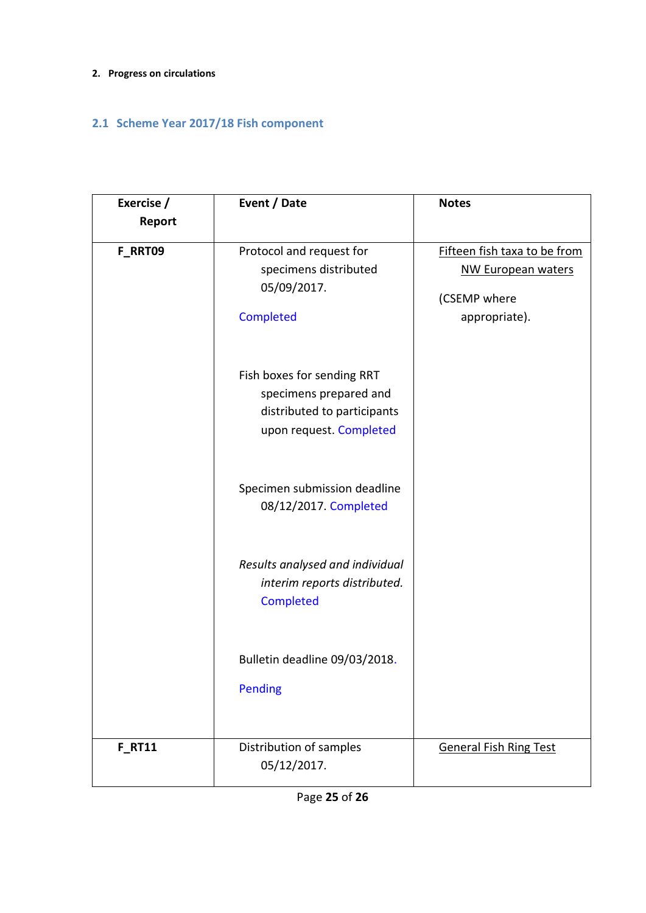### **2. Progress on circulations**

# **2.1 Scheme Year 2017/18 Fish component**

| Exercise /<br>Report | Event / Date                                                                                                   | <b>Notes</b>                                                                               |
|----------------------|----------------------------------------------------------------------------------------------------------------|--------------------------------------------------------------------------------------------|
| F RRT09              | Protocol and request for<br>specimens distributed<br>05/09/2017.<br>Completed                                  | Fifteen fish taxa to be from<br><b>NW European waters</b><br>(CSEMP where<br>appropriate). |
|                      | Fish boxes for sending RRT<br>specimens prepared and<br>distributed to participants<br>upon request. Completed |                                                                                            |
|                      | Specimen submission deadline<br>08/12/2017. Completed                                                          |                                                                                            |
|                      | Results analysed and individual<br>interim reports distributed.<br>Completed                                   |                                                                                            |
|                      | Bulletin deadline 09/03/2018.<br><b>Pending</b>                                                                |                                                                                            |
| <b>F RT11</b>        | Distribution of samples<br>05/12/2017.                                                                         | <b>General Fish Ring Test</b>                                                              |